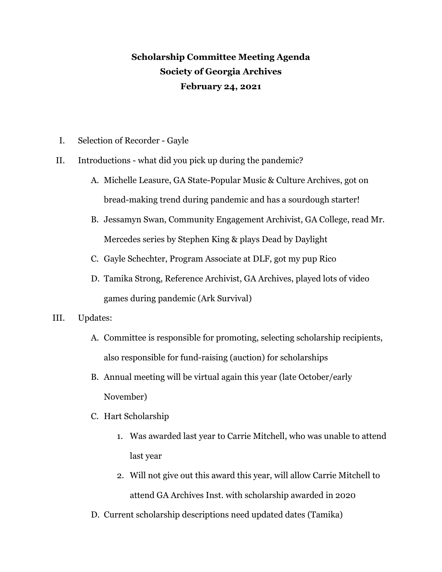## **Scholarship Committee Meeting Agenda Society of Georgia Archives February 24, 2021**

- I. Selection of Recorder Gayle
- II. Introductions what did you pick up during the pandemic?
	- A. Michelle Leasure, GA State-Popular Music & Culture Archives, got on bread-making trend during pandemic and has a sourdough starter!
	- B. Jessamyn Swan, Community Engagement Archivist, GA College, read Mr. Mercedes series by Stephen King & plays Dead by Daylight
	- C. Gayle Schechter, Program Associate at DLF, got my pup Rico
	- D. Tamika Strong, Reference Archivist, GA Archives, played lots of video games during pandemic (Ark Survival)
- III. Updates:
	- A. Committee is responsible for promoting, selecting scholarship recipients, also responsible for fund-raising (auction) for scholarships
	- B. Annual meeting will be virtual again this year (late October/early November)
	- C. Hart Scholarship
		- 1. Was awarded last year to Carrie Mitchell, who was unable to attend last year
		- 2. Will not give out this award this year, will allow Carrie Mitchell to attend GA Archives Inst. with scholarship awarded in 2020
	- D. Current scholarship descriptions need updated dates (Tamika)